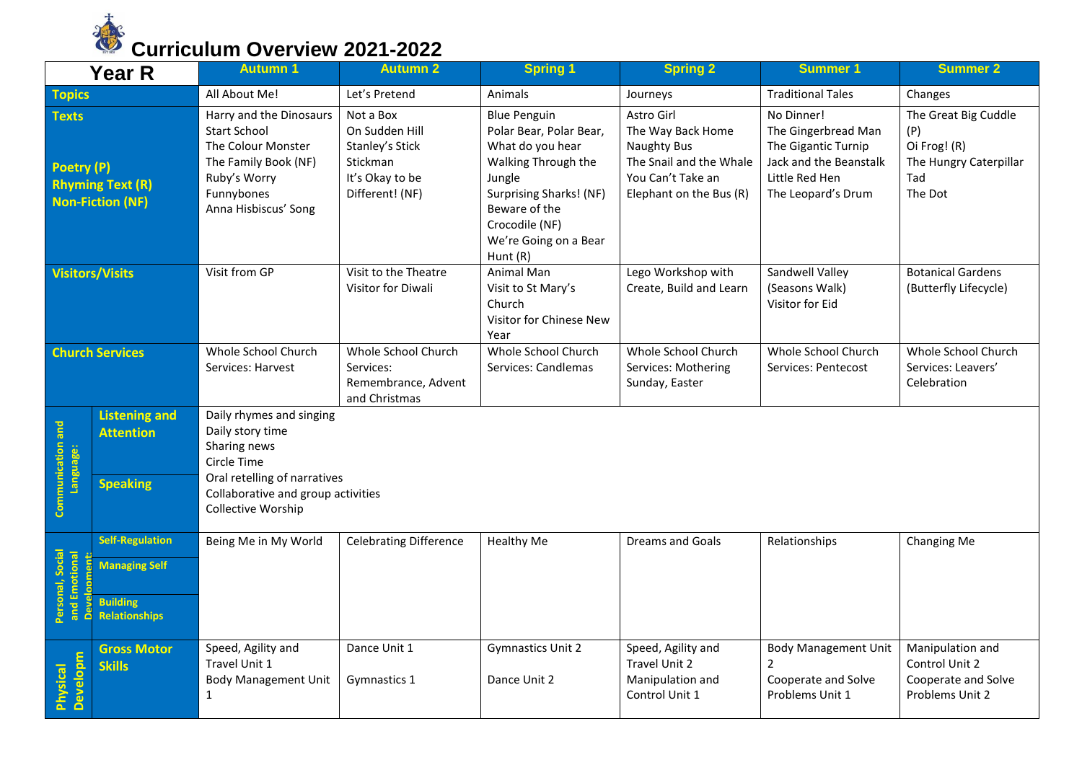

|                                                                                  | <b>Year R</b>                                                                             | <b>Autumn 1</b>                                                                                                                                    | <b>Autumn 2</b>                                                                                         | <b>Spring 1</b>                                                                                                                                                                                        | <b>Spring 2</b>                                                                                                           | <b>Summer 1</b>                                                                                                            | <b>Summer 2</b>                                                                         |  |  |
|----------------------------------------------------------------------------------|-------------------------------------------------------------------------------------------|----------------------------------------------------------------------------------------------------------------------------------------------------|---------------------------------------------------------------------------------------------------------|--------------------------------------------------------------------------------------------------------------------------------------------------------------------------------------------------------|---------------------------------------------------------------------------------------------------------------------------|----------------------------------------------------------------------------------------------------------------------------|-----------------------------------------------------------------------------------------|--|--|
| <b>Topics</b>                                                                    |                                                                                           | All About Me!                                                                                                                                      | Let's Pretend                                                                                           | Animals                                                                                                                                                                                                | Journeys                                                                                                                  | <b>Traditional Tales</b>                                                                                                   | Changes                                                                                 |  |  |
| <b>Texts</b><br>Poetry (P)<br><b>Rhyming Text (R)</b><br><b>Non-Fiction (NF)</b> |                                                                                           | Harry and the Dinosaurs<br><b>Start School</b><br>The Colour Monster<br>The Family Book (NF)<br>Ruby's Worry<br>Funnybones<br>Anna Hisbiscus' Song | Not a Box<br>On Sudden Hill<br><b>Stanley's Stick</b><br>Stickman<br>It's Okay to be<br>Different! (NF) | <b>Blue Penguin</b><br>Polar Bear, Polar Bear,<br>What do you hear<br>Walking Through the<br>Jungle<br>Surprising Sharks! (NF)<br>Beware of the<br>Crocodile (NF)<br>We're Going on a Bear<br>Hunt (R) | Astro Girl<br>The Way Back Home<br>Naughty Bus<br>The Snail and the Whale<br>You Can't Take an<br>Elephant on the Bus (R) | No Dinner!<br>The Gingerbread Man<br>The Gigantic Turnip<br>Jack and the Beanstalk<br>Little Red Hen<br>The Leopard's Drum | The Great Big Cuddle<br>(P)<br>Oi Frog! (R)<br>The Hungry Caterpillar<br>Tad<br>The Dot |  |  |
| <b>Visitors/Visits</b>                                                           |                                                                                           | Visit from GP                                                                                                                                      | Visit to the Theatre<br>Visitor for Diwali                                                              | Animal Man<br>Visit to St Mary's<br>Church<br>Visitor for Chinese New<br>Year                                                                                                                          | Lego Workshop with<br>Create, Build and Learn                                                                             | Sandwell Valley<br>(Seasons Walk)<br>Visitor for Eid                                                                       | <b>Botanical Gardens</b><br>(Butterfly Lifecycle)                                       |  |  |
| <b>Church Services</b>                                                           |                                                                                           | Whole School Church<br>Services: Harvest                                                                                                           | Whole School Church<br>Services:<br>Remembrance, Advent<br>and Christmas                                | Whole School Church<br>Services: Candlemas                                                                                                                                                             | Whole School Church<br>Services: Mothering<br>Sunday, Easter                                                              | Whole School Church<br>Services: Pentecost                                                                                 | Whole School Church<br>Services: Leavers'<br>Celebration                                |  |  |
| Communication and<br>Language:                                                   | <b>Listening and</b><br><b>Attention</b>                                                  | Daily rhymes and singing<br>Daily story time<br>Sharing news<br>Circle Time                                                                        |                                                                                                         |                                                                                                                                                                                                        |                                                                                                                           |                                                                                                                            |                                                                                         |  |  |
|                                                                                  | <b>Speaking</b>                                                                           | Oral retelling of narratives<br>Collaborative and group activities<br>Collective Worship                                                           |                                                                                                         |                                                                                                                                                                                                        |                                                                                                                           |                                                                                                                            |                                                                                         |  |  |
| Personal, Social<br>and Emotional<br>nnment:<br>å                                | <b>Self-Regulation</b><br><b>Managing Self</b><br><b>Building</b><br><b>Relationships</b> | Being Me in My World                                                                                                                               | <b>Celebrating Difference</b>                                                                           | Healthy Me                                                                                                                                                                                             | <b>Dreams and Goals</b>                                                                                                   | Relationships                                                                                                              | Changing Me                                                                             |  |  |
| <b>Developm</b><br>Physical                                                      | <b>Gross Motor</b><br><b>Skills</b>                                                       | Speed, Agility and<br>Travel Unit 1<br><b>Body Management Unit</b><br>$\mathbf{1}$                                                                 | Dance Unit 1<br>Gymnastics 1                                                                            | <b>Gymnastics Unit 2</b><br>Dance Unit 2                                                                                                                                                               | Speed, Agility and<br>Travel Unit 2<br>Manipulation and<br>Control Unit 1                                                 | <b>Body Management Unit</b><br>$\overline{2}$<br>Cooperate and Solve<br>Problems Unit 1                                    | Manipulation and<br>Control Unit 2<br>Cooperate and Solve<br>Problems Unit 2            |  |  |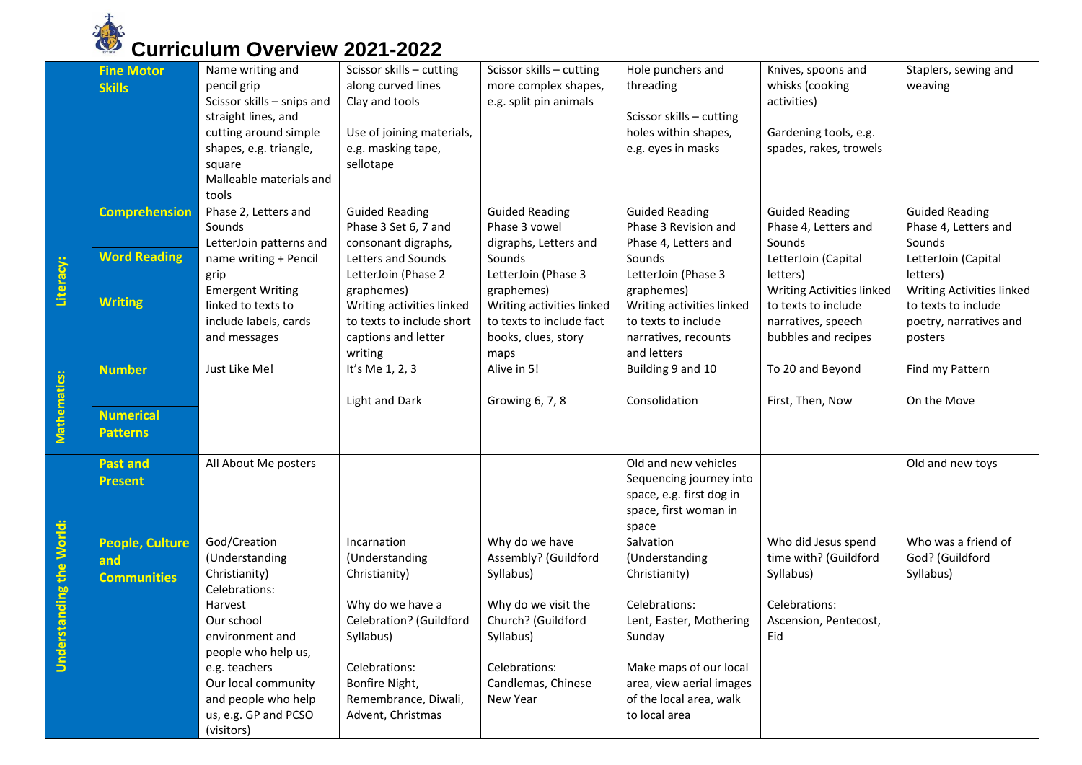

|                              | <b>Fine Motor</b><br><b>Skills</b>                   | Name writing and<br>pencil grip<br>Scissor skills - snips and<br>straight lines, and<br>cutting around simple<br>shapes, e.g. triangle,<br>square<br>Malleable materials and<br>tools                                                    | Scissor skills - cutting<br>along curved lines<br>Clay and tools<br>Use of joining materials,<br>e.g. masking tape,<br>sellotape                                                           | Scissor skills - cutting<br>more complex shapes,<br>e.g. split pin animals                                                                                       | Hole punchers and<br>threading<br>Scissor skills - cutting<br>holes within shapes,<br>e.g. eyes in masks                                                                                             | Knives, spoons and<br>whisks (cooking<br>activities)<br>Gardening tools, e.g.<br>spades, rakes, trowels    | Staplers, sewing and<br>weaving                                                        |
|------------------------------|------------------------------------------------------|------------------------------------------------------------------------------------------------------------------------------------------------------------------------------------------------------------------------------------------|--------------------------------------------------------------------------------------------------------------------------------------------------------------------------------------------|------------------------------------------------------------------------------------------------------------------------------------------------------------------|------------------------------------------------------------------------------------------------------------------------------------------------------------------------------------------------------|------------------------------------------------------------------------------------------------------------|----------------------------------------------------------------------------------------|
|                              | <b>Comprehension</b><br><b>Word Reading</b>          | Phase 2, Letters and<br>Sounds<br>LetterJoin patterns and<br>name writing + Pencil                                                                                                                                                       | <b>Guided Reading</b><br>Phase 3 Set 6, 7 and<br>consonant digraphs,<br>Letters and Sounds                                                                                                 | <b>Guided Reading</b><br>Phase 3 vowel<br>digraphs, Letters and<br>Sounds                                                                                        | <b>Guided Reading</b><br>Phase 3 Revision and<br>Phase 4, Letters and<br>Sounds                                                                                                                      | <b>Guided Reading</b><br>Phase 4, Letters and<br>Sounds<br>LetterJoin (Capital                             | <b>Guided Reading</b><br>Phase 4, Letters and<br>Sounds<br>LetterJoin (Capital         |
| Literacy:                    | <b>Writing</b>                                       | grip<br><b>Emergent Writing</b><br>linked to texts to<br>include labels, cards                                                                                                                                                           | LetterJoin (Phase 2<br>graphemes)<br>Writing activities linked<br>to texts to include short                                                                                                | LetterJoin (Phase 3<br>graphemes)<br>Writing activities linked<br>to texts to include fact                                                                       | LetterJoin (Phase 3<br>graphemes)<br>Writing activities linked<br>to texts to include                                                                                                                | letters)<br>Writing Activities linked<br>to texts to include<br>narratives, speech                         | letters)<br>Writing Activities linked<br>to texts to include<br>poetry, narratives and |
|                              |                                                      | and messages                                                                                                                                                                                                                             | captions and letter<br>writing                                                                                                                                                             | books, clues, story<br>maps                                                                                                                                      | narratives, recounts<br>and letters                                                                                                                                                                  | bubbles and recipes                                                                                        | posters                                                                                |
| Mathematics:                 | <b>Number</b><br><b>Numerical</b><br><b>Patterns</b> | Just Like Me!                                                                                                                                                                                                                            | It's Me 1, 2, 3<br>Light and Dark                                                                                                                                                          | Alive in 5!<br>Growing 6, 7, 8                                                                                                                                   | Building 9 and 10<br>Consolidation                                                                                                                                                                   | To 20 and Beyond<br>First, Then, Now                                                                       | Find my Pattern<br>On the Move                                                         |
|                              | <b>Past and</b><br><b>Present</b>                    | All About Me posters                                                                                                                                                                                                                     |                                                                                                                                                                                            |                                                                                                                                                                  | Old and new vehicles<br>Sequencing journey into<br>space, e.g. first dog in<br>space, first woman in<br>space                                                                                        |                                                                                                            | Old and new toys                                                                       |
| standing the World:<br>Under | <b>People, Culture</b><br>and<br><b>Communities</b>  | God/Creation<br>(Understanding<br>Christianity)<br>Celebrations:<br>Harvest<br>Our school<br>environment and<br>people who help us,<br>e.g. teachers<br>Our local community<br>and people who help<br>us, e.g. GP and PCSO<br>(visitors) | Incarnation<br>(Understanding<br>Christianity)<br>Why do we have a<br>Celebration? (Guildford<br>Syllabus)<br>Celebrations:<br>Bonfire Night,<br>Remembrance, Diwali,<br>Advent, Christmas | Why do we have<br>Assembly? (Guildford<br>Syllabus)<br>Why do we visit the<br>Church? (Guildford<br>Syllabus)<br>Celebrations:<br>Candlemas, Chinese<br>New Year | Salvation<br>(Understanding<br>Christianity)<br>Celebrations:<br>Lent, Easter, Mothering<br>Sunday<br>Make maps of our local<br>area, view aerial images<br>of the local area, walk<br>to local area | Who did Jesus spend<br>time with? (Guildford<br>Syllabus)<br>Celebrations:<br>Ascension, Pentecost,<br>Eid | Who was a friend of<br>God? (Guildford<br>Syllabus)                                    |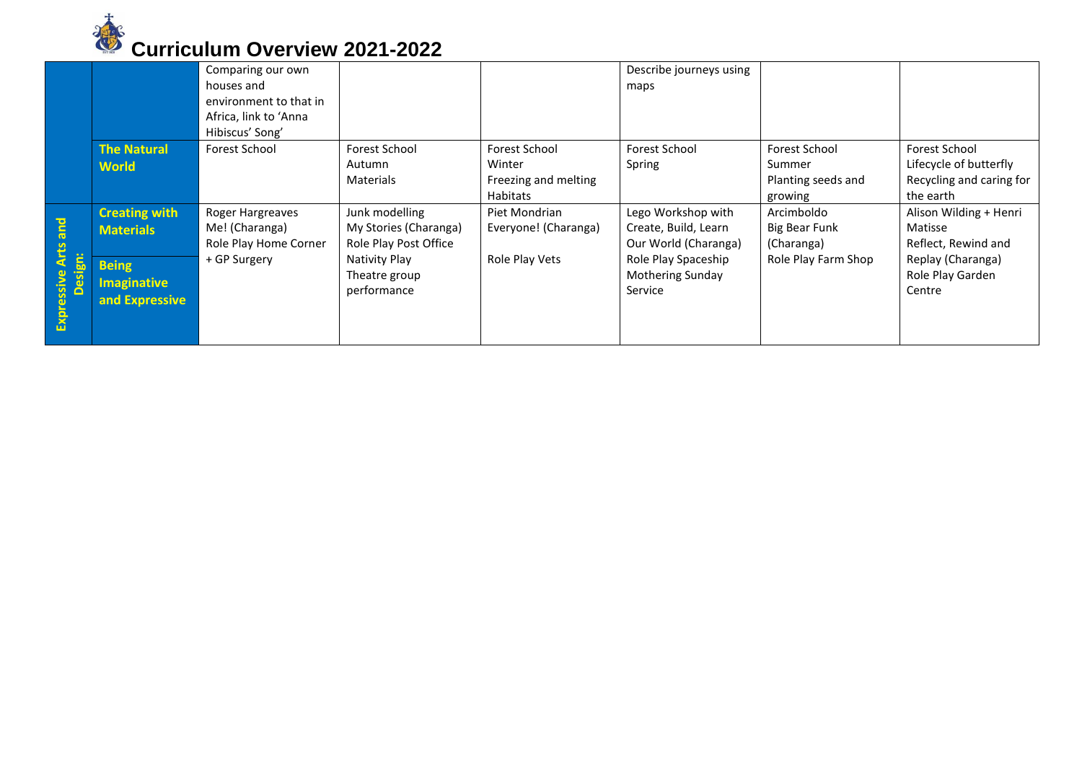

|                      |                                                      | Comparing our own<br>houses and<br>environment to that in<br>Africa, link to 'Anna |                                                                  |                                                                           | Describe journeys using<br>maps                                    |                                                          |                                                                                  |
|----------------------|------------------------------------------------------|------------------------------------------------------------------------------------|------------------------------------------------------------------|---------------------------------------------------------------------------|--------------------------------------------------------------------|----------------------------------------------------------|----------------------------------------------------------------------------------|
|                      | <b>The Natural</b><br><b>World</b>                   | Hibiscus' Song'<br>Forest School                                                   | Forest School<br>Autumn<br><b>Materials</b>                      | <b>Forest School</b><br>Winter<br>Freezing and melting<br><b>Habitats</b> | <b>Forest School</b><br>Spring                                     | Forest School<br>Summer<br>Planting seeds and<br>growing | Forest School<br>Lifecycle of butterfly<br>Recycling and caring for<br>the earth |
| and<br>Arts          | <b>Creating with</b><br><b>Materials</b>             | Roger Hargreaves<br>Me! (Charanga)<br>Role Play Home Corner                        | Junk modelling<br>My Stories (Charanga)<br>Role Play Post Office | Piet Mondrian<br>Everyone! (Charanga)                                     | Lego Workshop with<br>Create, Build, Learn<br>Our World (Charanga) | Arcimboldo<br>Big Bear Funk<br>(Charanga)                | Alison Wilding + Henri<br>Matisse<br>Reflect, Rewind and                         |
| Design:<br>Expressiv | <b>Being</b><br><b>Imaginative</b><br>and Expressive | + GP Surgery                                                                       | Nativity Play<br>Theatre group<br>performance                    | Role Play Vets                                                            | Role Play Spaceship<br><b>Mothering Sunday</b><br>Service          | Role Play Farm Shop                                      | Replay (Charanga)<br>Role Play Garden<br>Centre                                  |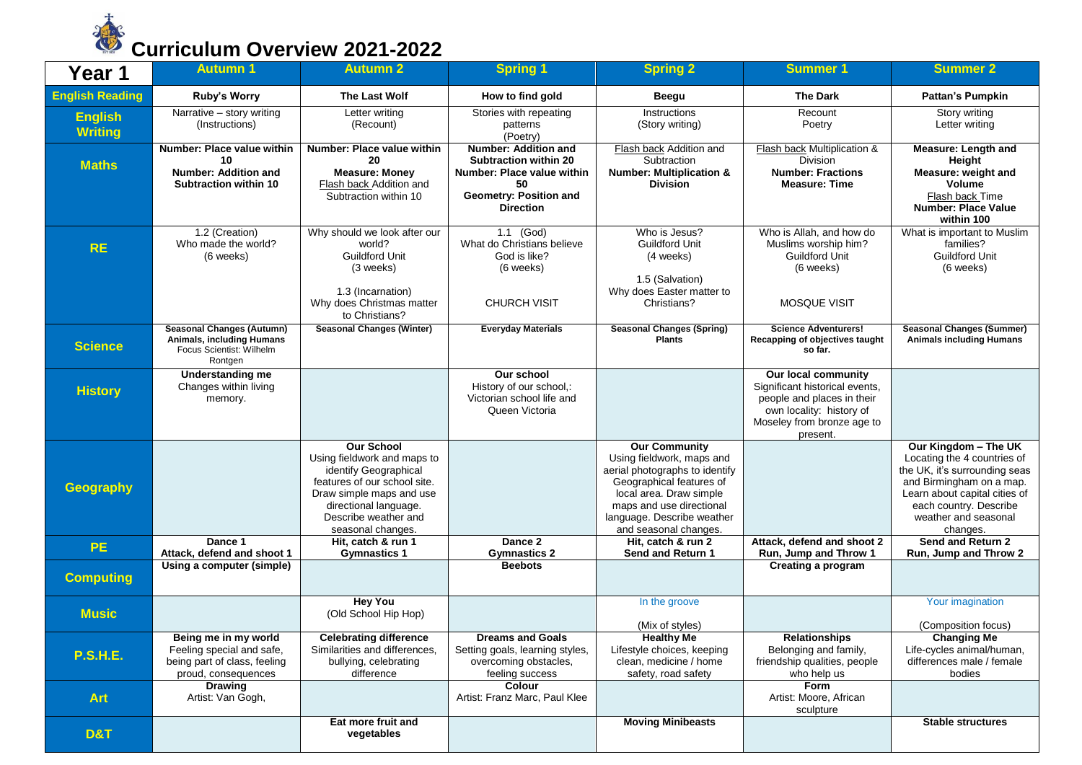

| Year 1                           | <b>Autumn 1</b>                                                                                             | <b>Autumn 2</b>                                                                                                                                                                                             | <b>Spring 1</b>                                                                                                                        | <b>Spring 2</b>                                                                                                                                                                                                               | <b>Summer 1</b>                                                                                                                                           | <b>Summer 2</b>                                                                                                                                                                                                 |
|----------------------------------|-------------------------------------------------------------------------------------------------------------|-------------------------------------------------------------------------------------------------------------------------------------------------------------------------------------------------------------|----------------------------------------------------------------------------------------------------------------------------------------|-------------------------------------------------------------------------------------------------------------------------------------------------------------------------------------------------------------------------------|-----------------------------------------------------------------------------------------------------------------------------------------------------------|-----------------------------------------------------------------------------------------------------------------------------------------------------------------------------------------------------------------|
| <b>English Reading</b>           | Ruby's Worry                                                                                                | <b>The Last Wolf</b>                                                                                                                                                                                        | How to find gold                                                                                                                       | <b>Beegu</b>                                                                                                                                                                                                                  | <b>The Dark</b>                                                                                                                                           | <b>Pattan's Pumpkin</b>                                                                                                                                                                                         |
| <b>English</b><br><b>Writing</b> | Narrative - story writing<br>(Instructions)                                                                 | Letter writing<br>(Recount)                                                                                                                                                                                 | Stories with repeating<br>patterns<br>(Poetry)                                                                                         | Instructions<br>(Story writing)                                                                                                                                                                                               | Recount<br>Poetry                                                                                                                                         | Story writing<br>Letter writing                                                                                                                                                                                 |
| <b>Maths</b>                     | Number: Place value within<br>10<br><b>Number: Addition and</b><br><b>Subtraction within 10</b>             | Number: Place value within<br>20<br><b>Measure: Money</b><br>Flash back Addition and<br>Subtraction within 10                                                                                               | Number: Addition and<br><b>Subtraction within 20</b><br>Number: Place value within<br>50<br>Geometry: Position and<br><b>Direction</b> | Flash back Addition and<br>Subtraction<br><b>Number: Multiplication &amp;</b><br><b>Division</b>                                                                                                                              | Flash back Multiplication &<br><b>Division</b><br><b>Number: Fractions</b><br><b>Measure: Time</b>                                                        | <b>Measure: Length and</b><br>Height<br>Measure: weight and<br>Volume<br>Flash back Time<br><b>Number: Place Value</b><br>within 100                                                                            |
| <b>RE</b>                        | 1.2 (Creation)<br>Who made the world?<br>(6 weeks)                                                          | Why should we look after our<br>world?<br><b>Guildford Unit</b><br>(3 weeks)<br>1.3 (Incarnation)<br>Why does Christmas matter<br>to Christians?                                                            | 1.1 (God)<br>What do Christians believe<br>God is like?<br>(6 weeks)<br><b>CHURCH VISIT</b>                                            | Who is Jesus?<br><b>Guildford Unit</b><br>(4 weeks)<br>1.5 (Salvation)<br>Why does Easter matter to<br>Christians?                                                                                                            | Who is Allah, and how do<br>Muslims worship him?<br><b>Guildford Unit</b><br>(6 weeks)<br><b>MOSQUE VISIT</b>                                             | What is important to Muslim<br>families?<br><b>Guildford Unit</b><br>(6 weeks)                                                                                                                                  |
| <b>Science</b>                   | <b>Seasonal Changes (Autumn)</b><br><b>Animals, including Humans</b><br>Focus Scientist: Wilhelm<br>Rontgen | <b>Seasonal Changes (Winter)</b>                                                                                                                                                                            | <b>Everyday Materials</b>                                                                                                              | <b>Seasonal Changes (Spring)</b><br><b>Plants</b>                                                                                                                                                                             | <b>Science Adventurers!</b><br>Recapping of objectives taught<br>so far.                                                                                  | <b>Seasonal Changes (Summer)</b><br><b>Animals including Humans</b>                                                                                                                                             |
| <b>History</b>                   | <b>Understanding me</b><br>Changes within living<br>memory.                                                 |                                                                                                                                                                                                             | Our school<br>History of our school,:<br>Victorian school life and<br>Queen Victoria                                                   |                                                                                                                                                                                                                               | Our local community<br>Significant historical events,<br>people and places in their<br>own locality: history of<br>Moseley from bronze age to<br>present. |                                                                                                                                                                                                                 |
| Geography                        |                                                                                                             | <b>Our School</b><br>Using fieldwork and maps to<br>identify Geographical<br>features of our school site.<br>Draw simple maps and use<br>directional language.<br>Describe weather and<br>seasonal changes. |                                                                                                                                        | <b>Our Community</b><br>Using fieldwork, maps and<br>aerial photographs to identify<br>Geographical features of<br>local area. Draw simple<br>maps and use directional<br>language. Describe weather<br>and seasonal changes. |                                                                                                                                                           | Our Kingdom - The UK<br>Locating the 4 countries of<br>the UK, it's surrounding seas<br>and Birmingham on a map.<br>Learn about capital cities of<br>each country. Describe<br>weather and seasonal<br>changes. |
| <b>PE</b>                        | Dance 1<br>Attack, defend and shoot 1                                                                       | Hit, catch & run 1<br><b>Gymnastics 1</b>                                                                                                                                                                   | Dance 2<br><b>Gymnastics 2</b>                                                                                                         | Hit, catch & run 2<br>Send and Return 1                                                                                                                                                                                       | Attack, defend and shoot 2<br>Run, Jump and Throw 1                                                                                                       | Send and Return 2<br>Run, Jump and Throw 2                                                                                                                                                                      |
| <b>Computing</b>                 | Using a computer (simple)                                                                                   |                                                                                                                                                                                                             | <b>Beebots</b>                                                                                                                         |                                                                                                                                                                                                                               | <b>Creating a program</b>                                                                                                                                 |                                                                                                                                                                                                                 |
| <b>Music</b>                     |                                                                                                             | <b>Hey You</b><br>(Old School Hip Hop)                                                                                                                                                                      |                                                                                                                                        | In the groove<br>(Mix of styles)                                                                                                                                                                                              |                                                                                                                                                           | Your imagination<br>(Composition focus)                                                                                                                                                                         |
| <b>P.S.H.E.</b>                  | Being me in my world<br>Feeling special and safe,<br>being part of class, feeling<br>proud, consequences    | <b>Celebrating difference</b><br>Similarities and differences,<br>bullying, celebrating<br>difference                                                                                                       | <b>Dreams and Goals</b><br>Setting goals, learning styles,<br>overcoming obstacles,<br>feeling success                                 | <b>Healthy Me</b><br>Lifestyle choices, keeping<br>clean, medicine / home<br>safety, road safety                                                                                                                              | <b>Relationships</b><br>Belonging and family,<br>friendship qualities, people<br>who help us                                                              | <b>Changing Me</b><br>Life-cycles animal/human,<br>differences male / female<br>bodies                                                                                                                          |
| <b>Art</b>                       | <b>Drawing</b><br>Artist: Van Gogh,                                                                         |                                                                                                                                                                                                             | Colour<br>Artist: Franz Marc, Paul Klee                                                                                                |                                                                                                                                                                                                                               | <b>Form</b><br>Artist: Moore, African<br>sculpture                                                                                                        |                                                                                                                                                                                                                 |
| <b>D&amp;T</b>                   |                                                                                                             | Eat more fruit and<br>vegetables                                                                                                                                                                            |                                                                                                                                        | <b>Moving Minibeasts</b>                                                                                                                                                                                                      |                                                                                                                                                           | <b>Stable structures</b>                                                                                                                                                                                        |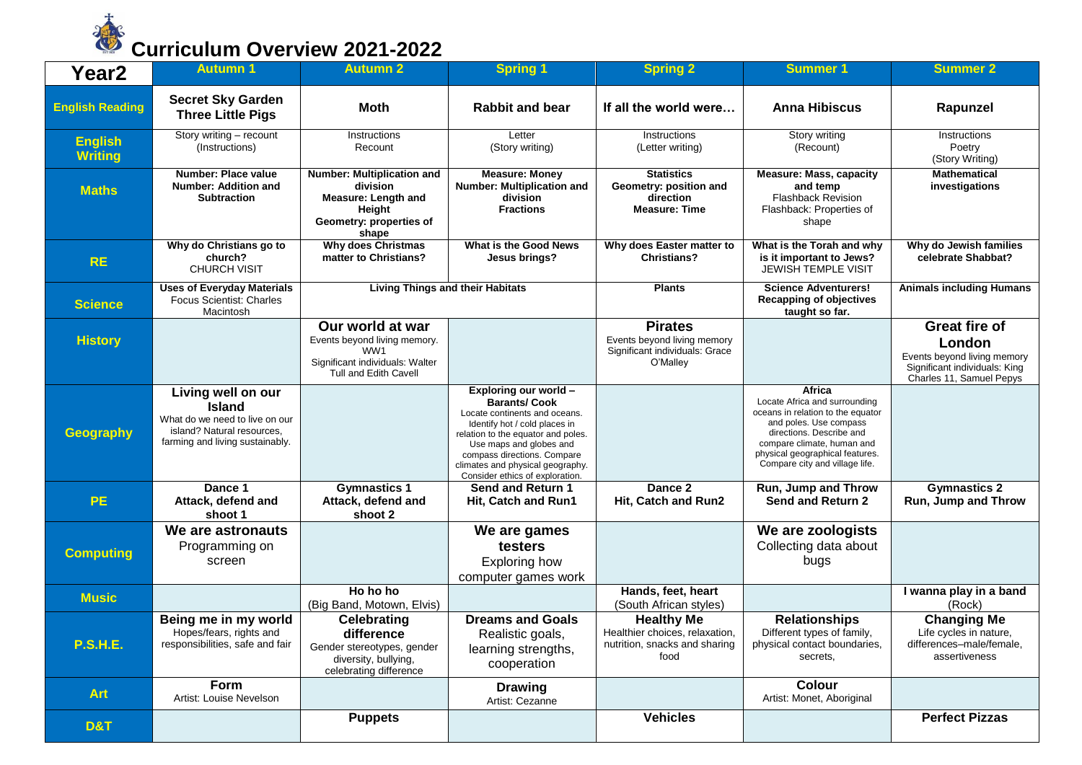

| Year <sub>2</sub>                | <b>Autumn 1</b>                                                                                                                        | <b>Autumn 2</b>                                                                                                     | <b>Spring 1</b>                                                                                                                                                                                                                                                                       | <b>Spring 2</b>                                                                             | <b>Summer 1</b>                                                                                                                                                                                                                       | <b>Summer 2</b>                                                                                                            |
|----------------------------------|----------------------------------------------------------------------------------------------------------------------------------------|---------------------------------------------------------------------------------------------------------------------|---------------------------------------------------------------------------------------------------------------------------------------------------------------------------------------------------------------------------------------------------------------------------------------|---------------------------------------------------------------------------------------------|---------------------------------------------------------------------------------------------------------------------------------------------------------------------------------------------------------------------------------------|----------------------------------------------------------------------------------------------------------------------------|
| <b>English Reading</b>           | <b>Secret Sky Garden</b><br><b>Three Little Pigs</b>                                                                                   | <b>Moth</b>                                                                                                         | <b>Rabbit and bear</b>                                                                                                                                                                                                                                                                | If all the world were                                                                       | <b>Anna Hibiscus</b>                                                                                                                                                                                                                  | Rapunzel                                                                                                                   |
| <b>English</b><br><b>Writing</b> | Story writing - recount<br>(Instructions)                                                                                              | Instructions<br>Recount                                                                                             | Letter<br>(Story writing)                                                                                                                                                                                                                                                             | Instructions<br>(Letter writing)                                                            | Story writing<br>(Recount)                                                                                                                                                                                                            | Instructions<br>Poetry<br>(Story Writing)                                                                                  |
| <b>Maths</b>                     | Number: Place value<br><b>Number: Addition and</b><br><b>Subtraction</b>                                                               | Number: Multiplication and<br>division<br>Measure: Length and<br>Height<br>Geometry: properties of<br>shape         | <b>Measure: Money</b><br>Number: Multiplication and<br>division<br><b>Fractions</b>                                                                                                                                                                                                   | <b>Statistics</b><br>Geometry: position and<br>direction<br><b>Measure: Time</b>            | <b>Measure: Mass, capacity</b><br>and temp<br><b>Flashback Revision</b><br>Flashback: Properties of<br>shape                                                                                                                          | <b>Mathematical</b><br>investigations                                                                                      |
| <b>RE</b>                        | Why do Christians go to<br>church?<br><b>CHURCH VISIT</b>                                                                              | <b>Why does Christmas</b><br>matter to Christians?                                                                  | What is the Good News<br>Jesus brings?                                                                                                                                                                                                                                                | Why does Easter matter to<br><b>Christians?</b>                                             | What is the Torah and why<br>is it important to Jews?<br><b>JEWISH TEMPLE VISIT</b>                                                                                                                                                   | Why do Jewish families<br>celebrate Shabbat?                                                                               |
| <b>Science</b>                   | <b>Uses of Everyday Materials</b><br><b>Focus Scientist: Charles</b><br>Macintosh                                                      | <b>Living Things and their Habitats</b>                                                                             |                                                                                                                                                                                                                                                                                       | <b>Plants</b>                                                                               | <b>Science Adventurers!</b><br><b>Recapping of objectives</b><br>taught so far.                                                                                                                                                       | <b>Animals including Humans</b>                                                                                            |
| <b>History</b>                   |                                                                                                                                        | Our world at war<br>Events beyond living memory.<br>WW1<br>Significant individuals: Walter<br>Tull and Edith Cavell |                                                                                                                                                                                                                                                                                       | <b>Pirates</b><br>Events beyond living memory<br>Significant individuals: Grace<br>O'Malley |                                                                                                                                                                                                                                       | <b>Great fire of</b><br>London<br>Events beyond living memory<br>Significant individuals: King<br>Charles 11, Samuel Pepys |
| <b>Geography</b>                 | Living well on our<br><b>Island</b><br>What do we need to live on our<br>island? Natural resources,<br>farming and living sustainably. |                                                                                                                     | Exploring our world -<br><b>Barants/Cook</b><br>Locate continents and oceans.<br>Identify hot / cold places in<br>relation to the equator and poles.<br>Use maps and globes and<br>compass directions. Compare<br>climates and physical geography.<br>Consider ethics of exploration. |                                                                                             | Africa<br>Locate Africa and surrounding<br>oceans in relation to the equator<br>and poles. Use compass<br>directions. Describe and<br>compare climate, human and<br>physical geographical features.<br>Compare city and village life. |                                                                                                                            |
| <b>PE</b>                        | Dance 1<br>Attack, defend and<br>shoot 1                                                                                               | <b>Gymnastics 1</b><br>Attack, defend and<br>shoot 2                                                                | Send and Return 1<br>Hit, Catch and Run1                                                                                                                                                                                                                                              | Dance 2<br>Hit, Catch and Run2                                                              | Run, Jump and Throw<br><b>Send and Return 2</b>                                                                                                                                                                                       | <b>Gymnastics 2</b><br><b>Run, Jump and Throw</b>                                                                          |
| <b>Computing</b>                 | We are astronauts<br>Programming on<br>screen                                                                                          |                                                                                                                     | We are games<br>testers<br><b>Exploring how</b><br>computer games work                                                                                                                                                                                                                |                                                                                             | We are zoologists<br>Collecting data about<br>bugs                                                                                                                                                                                    |                                                                                                                            |
| <b>Music</b>                     |                                                                                                                                        | Ho ho ho<br>(Big Band, Motown, Elvis)                                                                               |                                                                                                                                                                                                                                                                                       | Hands, feet, heart<br>(South African styles)                                                |                                                                                                                                                                                                                                       | I wanna play in a band<br>(Rock)                                                                                           |
| <b>P.S.H.E.</b>                  | Being me in my world<br>Hopes/fears, rights and<br>responsibilities, safe and fair                                                     | Celebrating<br>difference<br>Gender stereotypes, gender<br>diversity, bullying,<br>celebrating difference           | <b>Dreams and Goals</b><br>Realistic goals,<br>learning strengths,<br>cooperation                                                                                                                                                                                                     | <b>Healthy Me</b><br>Healthier choices, relaxation<br>nutrition, snacks and sharing<br>food | <b>Relationships</b><br>Different types of family,<br>physical contact boundaries,<br>secrets.                                                                                                                                        | <b>Changing Me</b><br>Life cycles in nature,<br>differences-male/female,<br>assertiveness                                  |
| <b>Art</b>                       | Form<br>Artist: Louise Nevelson                                                                                                        |                                                                                                                     | <b>Drawing</b><br>Artist: Cezanne                                                                                                                                                                                                                                                     |                                                                                             | <b>Colour</b><br>Artist: Monet, Aboriginal                                                                                                                                                                                            |                                                                                                                            |
| D&T                              |                                                                                                                                        | <b>Puppets</b>                                                                                                      |                                                                                                                                                                                                                                                                                       | <b>Vehicles</b>                                                                             |                                                                                                                                                                                                                                       | <b>Perfect Pizzas</b>                                                                                                      |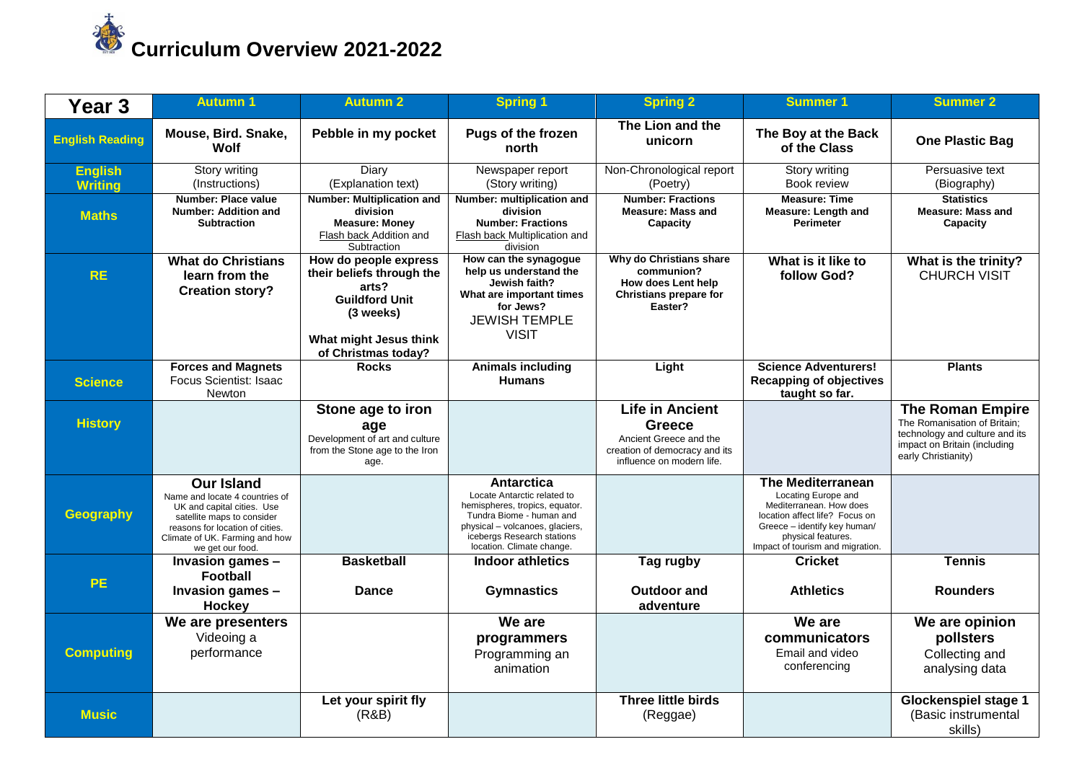

| Year <sub>3</sub>                | <b>Autumn 1</b>                                                                                                                                                                                          | <b>Autumn 2</b>                                                                                                                                    | <b>Spring 1</b>                                                                                                                                                                                       | <b>Spring 2</b>                                                                                                          | <b>Summer 1</b>                                                                                                                                                                                        | <b>Summer 2</b>                                                                                                                                  |
|----------------------------------|----------------------------------------------------------------------------------------------------------------------------------------------------------------------------------------------------------|----------------------------------------------------------------------------------------------------------------------------------------------------|-------------------------------------------------------------------------------------------------------------------------------------------------------------------------------------------------------|--------------------------------------------------------------------------------------------------------------------------|--------------------------------------------------------------------------------------------------------------------------------------------------------------------------------------------------------|--------------------------------------------------------------------------------------------------------------------------------------------------|
| <b>English Reading</b>           | Mouse, Bird. Snake,<br>Wolf                                                                                                                                                                              | Pebble in my pocket                                                                                                                                | Pugs of the frozen<br>north                                                                                                                                                                           | The Lion and the<br>unicorn                                                                                              | The Boy at the Back<br>of the Class                                                                                                                                                                    | <b>One Plastic Bag</b>                                                                                                                           |
| <b>English</b><br><b>Writing</b> | Story writing<br>(Instructions)                                                                                                                                                                          | Diary<br>(Explanation text)                                                                                                                        | Newspaper report<br>(Story writing)                                                                                                                                                                   | Non-Chronological report<br>(Poetry)                                                                                     | Story writing<br>Book review                                                                                                                                                                           | Persuasive text<br>(Biography)                                                                                                                   |
| <b>Maths</b>                     | <b>Number: Place value</b><br>Number: Addition and<br><b>Subtraction</b>                                                                                                                                 | <b>Number: Multiplication and</b><br>division<br><b>Measure: Money</b><br>Flash back Addition and<br>Subtraction                                   | Number: multiplication and<br>division<br><b>Number: Fractions</b><br>Flash back Multiplication and<br>division                                                                                       | <b>Number: Fractions</b><br><b>Measure: Mass and</b><br>Capacity                                                         | <b>Measure: Time</b><br>Measure: Length and<br><b>Perimeter</b>                                                                                                                                        | <b>Statistics</b><br><b>Measure: Mass and</b><br>Capacity                                                                                        |
| <b>RE</b>                        | <b>What do Christians</b><br>learn from the<br><b>Creation story?</b>                                                                                                                                    | How do people express<br>their beliefs through the<br>arts?<br><b>Guildford Unit</b><br>(3 weeks)<br>What might Jesus think<br>of Christmas today? | How can the synagogue<br>help us understand the<br>Jewish faith?<br>What are important times<br>for Jews?<br><b>JEWISH TEMPLE</b><br><b>VISIT</b>                                                     | Why do Christians share<br>communion?<br>How does Lent help<br>Christians prepare for<br>Easter?                         | What is it like to<br>follow God?                                                                                                                                                                      | What is the trinity?<br><b>CHURCH VISIT</b>                                                                                                      |
| <b>Science</b>                   | <b>Forces and Magnets</b><br>Focus Scientist: Isaac<br><b>Newton</b>                                                                                                                                     | <b>Rocks</b>                                                                                                                                       | <b>Animals including</b><br><b>Humans</b>                                                                                                                                                             | Light                                                                                                                    | <b>Science Adventurers!</b><br><b>Recapping of objectives</b><br>taught so far.                                                                                                                        | <b>Plants</b>                                                                                                                                    |
| <b>History</b>                   |                                                                                                                                                                                                          | Stone age to iron<br>age<br>Development of art and culture<br>from the Stone age to the Iron<br>age.                                               |                                                                                                                                                                                                       | <b>Life in Ancient</b><br>Greece<br>Ancient Greece and the<br>creation of democracy and its<br>influence on modern life. |                                                                                                                                                                                                        | <b>The Roman Empire</b><br>The Romanisation of Britain;<br>technology and culture and its<br>impact on Britain (including<br>early Christianity) |
| <b>Geography</b>                 | <b>Our Island</b><br>Name and locate 4 countries of<br>UK and capital cities. Use<br>satellite maps to consider<br>reasons for location of cities.<br>Climate of UK. Farming and how<br>we get our food. |                                                                                                                                                    | Antarctica<br>Locate Antarctic related to<br>hemispheres, tropics, equator.<br>Tundra Biome - human and<br>physical - volcanoes, glaciers,<br>icebergs Research stations<br>location. Climate change. |                                                                                                                          | <b>The Mediterranean</b><br>Locating Europe and<br>Mediterranean. How does<br>location affect life? Focus on<br>Greece - identify key human/<br>physical features.<br>Impact of tourism and migration. |                                                                                                                                                  |
| <b>PE</b>                        | Invasion games -<br><b>Football</b><br>Invasion games -<br>Hockey                                                                                                                                        | <b>Basketball</b><br><b>Dance</b>                                                                                                                  | Indoor athletics<br><b>Gymnastics</b>                                                                                                                                                                 | Tag rugby<br><b>Outdoor and</b><br>adventure                                                                             | <b>Cricket</b><br><b>Athletics</b>                                                                                                                                                                     | <b>Tennis</b><br><b>Rounders</b>                                                                                                                 |
| <b>Computing</b>                 | We are presenters<br>Videoing a<br>performance                                                                                                                                                           |                                                                                                                                                    | We are<br>programmers<br>Programming an<br>animation                                                                                                                                                  |                                                                                                                          | We are<br>communicators<br>Email and video<br>conferencing                                                                                                                                             | We are opinion<br>pollsters<br>Collecting and<br>analysing data                                                                                  |
| <b>Music</b>                     |                                                                                                                                                                                                          | Let your spirit fly<br>(R&B)                                                                                                                       |                                                                                                                                                                                                       | <b>Three little birds</b><br>(Reggae)                                                                                    |                                                                                                                                                                                                        | <b>Glockenspiel stage 1</b><br>(Basic instrumental<br>skills)                                                                                    |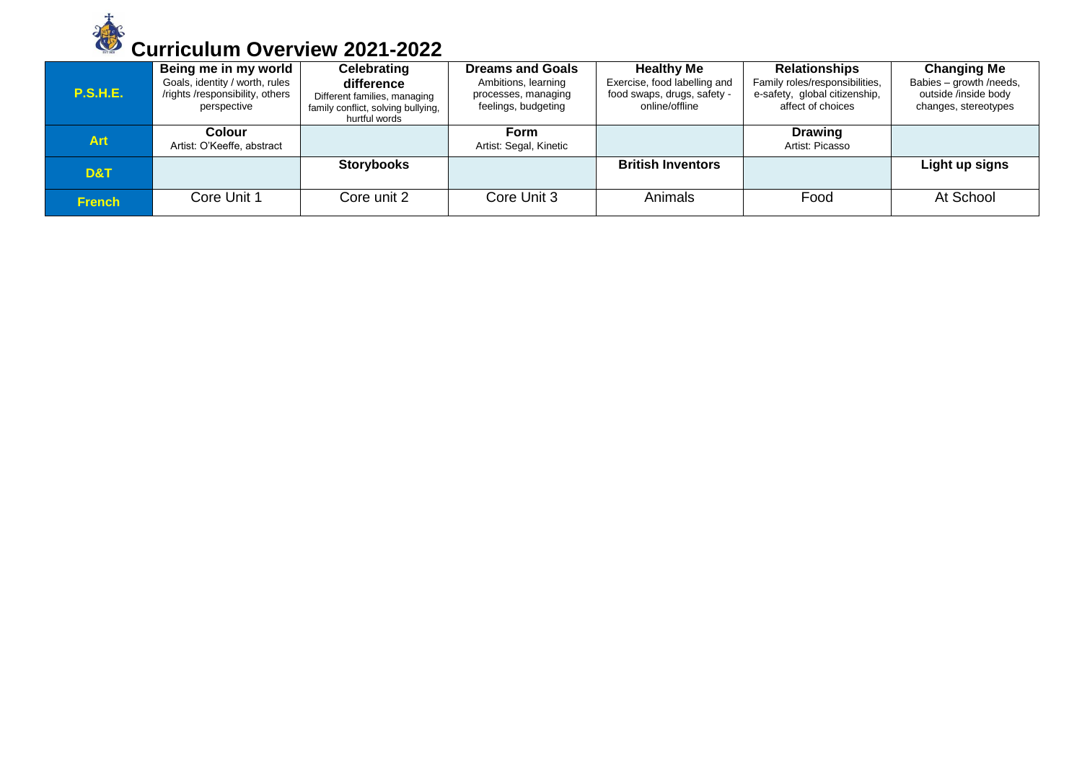

| <b>P.S.H.E.</b> | Being me in my world<br>Goals, identity / worth, rules<br>/rights/responsibility, others<br>perspective | <b>Celebrating</b><br>difference<br>Different families, managing<br>family conflict, solving bullying,<br>hurtful words | <b>Dreams and Goals</b><br>Ambitions, learning<br>processes, managing<br>feelings, budgeting | <b>Healthy Me</b><br>Exercise, food labelling and<br>food swaps, drugs, safety -<br>online/offline | <b>Relationships</b><br>Family roles/responsibilities,<br>e-safety, global citizenship,<br>affect of choices | <b>Changing Me</b><br>Babies - growth /needs,<br>outside /inside body<br>changes, stereotypes |
|-----------------|---------------------------------------------------------------------------------------------------------|-------------------------------------------------------------------------------------------------------------------------|----------------------------------------------------------------------------------------------|----------------------------------------------------------------------------------------------------|--------------------------------------------------------------------------------------------------------------|-----------------------------------------------------------------------------------------------|
| <b>Art</b>      | <b>Colour</b><br>Artist: O'Keeffe, abstract                                                             |                                                                                                                         | Form<br>Artist: Segal, Kinetic                                                               |                                                                                                    | <b>Drawing</b><br>Artist: Picasso                                                                            |                                                                                               |
| D&T             |                                                                                                         | <b>Storybooks</b>                                                                                                       |                                                                                              | <b>British Inventors</b>                                                                           |                                                                                                              | Light up signs                                                                                |
| <b>French</b>   | Core Unit 1                                                                                             | Core unit 2                                                                                                             | Core Unit 3                                                                                  | Animals                                                                                            | Food                                                                                                         | At School                                                                                     |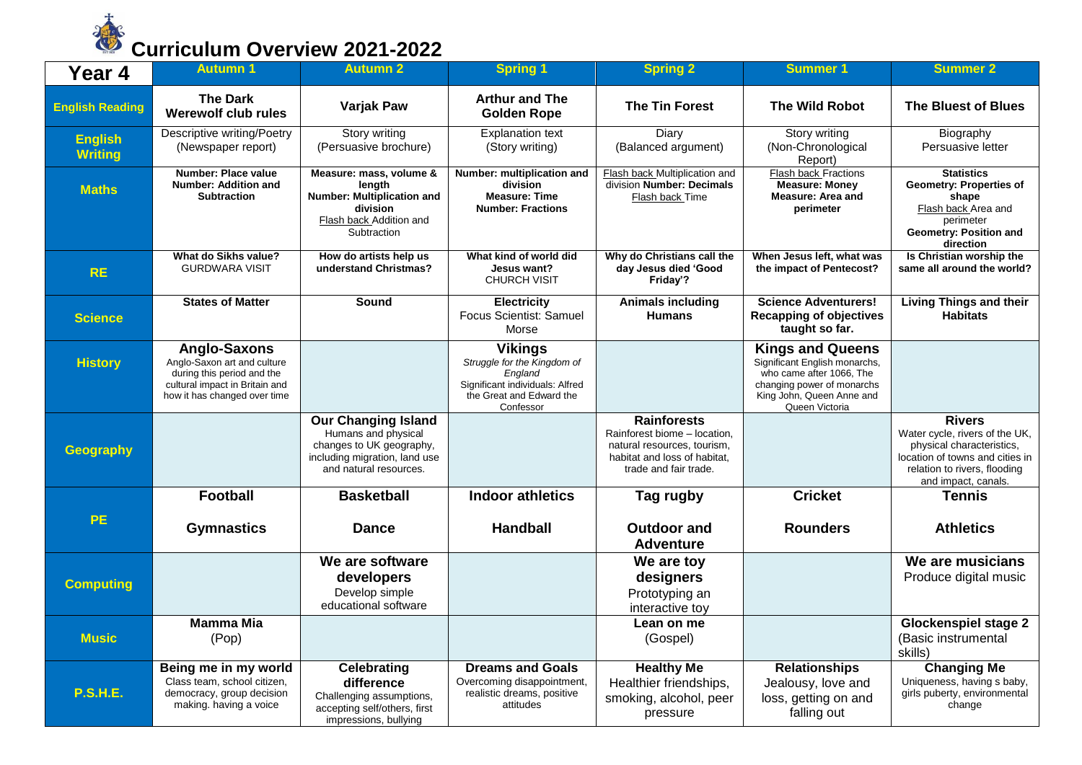

| Year 4                           | <b>Autumn 1</b>                                                                                                                                    | <b>Autumn 2</b>                                                                                                                          | <b>Spring 1</b>                                                                                                                      | <b>Spring 2</b>                                                                                                                            | <b>Summer 1</b>                                                                                                                                                   | <b>Summer 2</b>                                                                                                                                                        |
|----------------------------------|----------------------------------------------------------------------------------------------------------------------------------------------------|------------------------------------------------------------------------------------------------------------------------------------------|--------------------------------------------------------------------------------------------------------------------------------------|--------------------------------------------------------------------------------------------------------------------------------------------|-------------------------------------------------------------------------------------------------------------------------------------------------------------------|------------------------------------------------------------------------------------------------------------------------------------------------------------------------|
| <b>English Reading</b>           | <b>The Dark</b><br>Werewolf club rules                                                                                                             | <b>Varjak Paw</b>                                                                                                                        | <b>Arthur and The</b><br><b>Golden Rope</b>                                                                                          | <b>The Tin Forest</b>                                                                                                                      | <b>The Wild Robot</b>                                                                                                                                             | The Bluest of Blues                                                                                                                                                    |
| <b>English</b><br><b>Writing</b> | <b>Descriptive writing/Poetry</b><br>(Newspaper report)                                                                                            | <b>Story writing</b><br>(Persuasive brochure)                                                                                            | <b>Explanation text</b><br>(Story writing)                                                                                           | Diary<br>(Balanced argument)                                                                                                               | Story writing<br>(Non-Chronological<br>Report)                                                                                                                    | Biography<br>Persuasive letter                                                                                                                                         |
| <b>Maths</b>                     | Number: Place value<br>Number: Addition and<br><b>Subtraction</b>                                                                                  | Measure: mass, volume &<br>length<br><b>Number: Multiplication and</b><br>division<br>Flash back Addition and<br>Subtraction             | Number: multiplication and<br>division<br><b>Measure: Time</b><br><b>Number: Fractions</b>                                           | Flash back Multiplication and<br>division Number: Decimals<br>Flash back Time                                                              | <b>Flash back Fractions</b><br><b>Measure: Money</b><br><b>Measure: Area and</b><br>perimeter                                                                     | <b>Statistics</b><br><b>Geometry: Properties of</b><br>shape<br>Flash back Area and<br>perimeter<br>Geometry: Position and<br>direction                                |
| <b>RE</b>                        | What do Sikhs value?<br><b>GURDWARA VISIT</b>                                                                                                      | How do artists help us<br>understand Christmas?                                                                                          | What kind of world did<br>Jesus want?<br><b>CHURCH VISIT</b>                                                                         | Why do Christians call the<br>day Jesus died 'Good<br>Friday'?                                                                             | When Jesus left, what was<br>the impact of Pentecost?                                                                                                             | Is Christian worship the<br>same all around the world?                                                                                                                 |
| <b>Science</b>                   | <b>States of Matter</b>                                                                                                                            | Sound                                                                                                                                    | <b>Electricity</b><br>Focus Scientist: Samuel<br>Morse                                                                               | <b>Animals including</b><br><b>Humans</b>                                                                                                  | <b>Science Adventurers!</b><br><b>Recapping of objectives</b><br>taught so far.                                                                                   | <b>Living Things and their</b><br><b>Habitats</b>                                                                                                                      |
| <b>History</b>                   | <b>Anglo-Saxons</b><br>Anglo-Saxon art and culture<br>during this period and the<br>cultural impact in Britain and<br>how it has changed over time |                                                                                                                                          | <b>Vikings</b><br>Struggle for the Kingdom of<br>England<br>Significant individuals: Alfred<br>the Great and Edward the<br>Confessor |                                                                                                                                            | <b>Kings and Queens</b><br>Significant English monarchs,<br>who came after 1066, The<br>changing power of monarchs<br>King John, Queen Anne and<br>Queen Victoria |                                                                                                                                                                        |
| <b>Geography</b>                 |                                                                                                                                                    | <b>Our Changing Island</b><br>Humans and physical<br>changes to UK geography,<br>including migration, land use<br>and natural resources. |                                                                                                                                      | <b>Rainforests</b><br>Rainforest biome - location,<br>natural resources, tourism,<br>habitat and loss of habitat,<br>trade and fair trade. |                                                                                                                                                                   | <b>Rivers</b><br>Water cycle, rivers of the UK,<br>physical characteristics.<br>location of towns and cities in<br>relation to rivers, flooding<br>and impact, canals. |
|                                  | Football                                                                                                                                           | <b>Basketball</b>                                                                                                                        | <b>Indoor athletics</b>                                                                                                              | Tag rugby                                                                                                                                  | <b>Cricket</b>                                                                                                                                                    | <b>Tennis</b>                                                                                                                                                          |
| <b>PE</b>                        | <b>Gymnastics</b>                                                                                                                                  | <b>Dance</b>                                                                                                                             | <b>Handball</b>                                                                                                                      | <b>Outdoor and</b><br><b>Adventure</b>                                                                                                     | <b>Rounders</b>                                                                                                                                                   | <b>Athletics</b>                                                                                                                                                       |
| <b>Computing</b>                 |                                                                                                                                                    | We are software<br>developers<br>Develop simple<br>educational software                                                                  |                                                                                                                                      | We are toy<br>designers<br>Prototyping an<br>interactive toy                                                                               |                                                                                                                                                                   | We are musicians<br>Produce digital music                                                                                                                              |
| <b>Music</b>                     | <b>Mamma Mia</b><br>(Pop)                                                                                                                          |                                                                                                                                          |                                                                                                                                      | Lean on me<br>(Gospel)                                                                                                                     |                                                                                                                                                                   | <b>Glockenspiel stage 2</b><br>(Basic instrumental<br>skills)                                                                                                          |
| <b>P.S.H.E.</b>                  | Being me in my world<br>Class team, school citizen,<br>democracy, group decision<br>making. having a voice                                         | <b>Celebrating</b><br>difference<br>Challenging assumptions,<br>accepting self/others, first<br>impressions, bullying                    | <b>Dreams and Goals</b><br>Overcoming disappointment,<br>realistic dreams, positive<br>attitudes                                     | <b>Healthy Me</b><br>Healthier friendships,<br>smoking, alcohol, peer<br>pressure                                                          | <b>Relationships</b><br>Jealousy, love and<br>loss, getting on and<br>falling out                                                                                 | <b>Changing Me</b><br>Uniqueness, having s baby,<br>girls puberty, environmental<br>change                                                                             |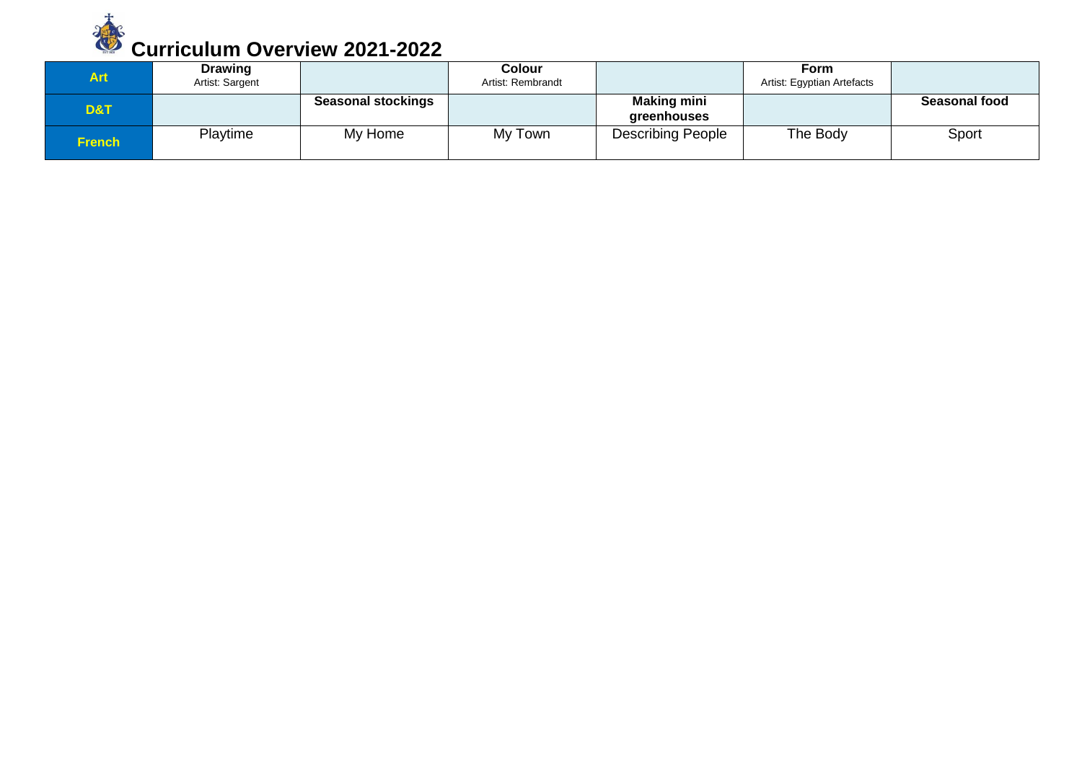

| Art.   | <b>Drawing</b><br>Artist: Sargent |                           | Colour<br>Artist: Rembrandt |                                   | <b>Form</b><br>Artist: Egyptian Artefacts |                      |
|--------|-----------------------------------|---------------------------|-----------------------------|-----------------------------------|-------------------------------------------|----------------------|
| D&T    |                                   | <b>Seasonal stockings</b> |                             | <b>Making mini</b><br>greenhouses |                                           | <b>Seasonal food</b> |
| French | Playtime                          | My Home                   | My Town                     | <b>Describing People</b>          | The Body                                  | Sport                |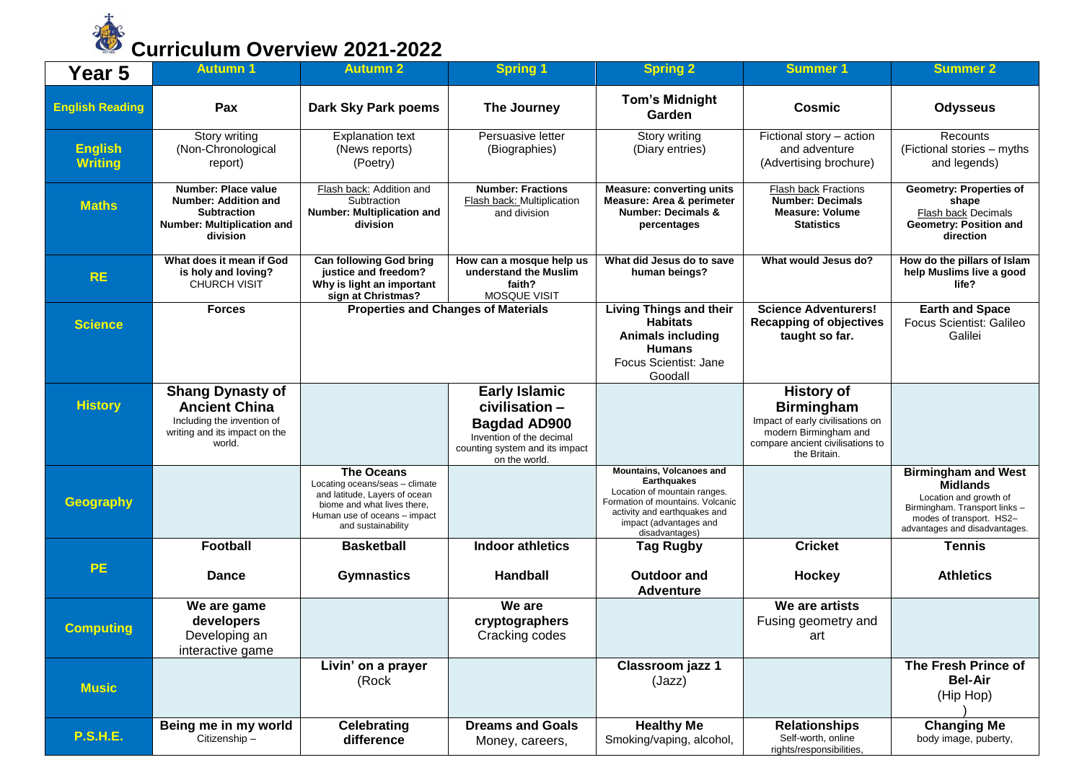

| Year 5                           | <b>Autumn 1</b>                                                                                                          | <b>Autumn 2</b>                                                                                                                                                           | <b>Spring 1</b>                                                                                                                              | <b>Spring 2</b>                                                                                                                                                                                | <b>Summer 1</b>                                                                                                                                         | <b>Summer 2</b>                                                                                                                                                       |
|----------------------------------|--------------------------------------------------------------------------------------------------------------------------|---------------------------------------------------------------------------------------------------------------------------------------------------------------------------|----------------------------------------------------------------------------------------------------------------------------------------------|------------------------------------------------------------------------------------------------------------------------------------------------------------------------------------------------|---------------------------------------------------------------------------------------------------------------------------------------------------------|-----------------------------------------------------------------------------------------------------------------------------------------------------------------------|
| <b>English Reading</b>           | Pax                                                                                                                      | Dark Sky Park poems                                                                                                                                                       | The Journey                                                                                                                                  | <b>Tom's Midnight</b><br>Garden                                                                                                                                                                | Cosmic                                                                                                                                                  | <b>Odysseus</b>                                                                                                                                                       |
| <b>English</b><br><b>Writing</b> | Story writing<br>(Non-Chronological<br>report)                                                                           | <b>Explanation text</b><br>(News reports)<br>(Poetry)                                                                                                                     | Persuasive letter<br>(Biographies)                                                                                                           | Story writing<br>(Diary entries)                                                                                                                                                               | Fictional story - action<br>and adventure<br>(Advertising brochure)                                                                                     | Recounts<br>(Fictional stories - myths<br>and legends)                                                                                                                |
| <b>Maths</b>                     | Number: Place value<br><b>Number: Addition and</b><br><b>Subtraction</b><br>Number: Multiplication and<br>division       | Flash back: Addition and<br>Subtraction<br><b>Number: Multiplication and</b><br>division                                                                                  | <b>Number: Fractions</b><br>Flash back: Multiplication<br>and division                                                                       | <b>Measure: converting units</b><br><b>Measure: Area &amp; perimeter</b><br><b>Number: Decimals &amp;</b><br>percentages                                                                       | <b>Flash back Fractions</b><br><b>Number: Decimals</b><br><b>Measure: Volume</b><br><b>Statistics</b>                                                   | <b>Geometry: Properties of</b><br>shape<br>Flash back Decimals<br>Geometry: Position and<br>direction                                                                 |
| <b>RE</b>                        | What does it mean if God<br>is holy and loving?<br><b>CHURCH VISIT</b>                                                   | <b>Can following God bring</b><br>justice and freedom?<br>Why is light an important<br>sign at Christmas?                                                                 | How can a mosque help us<br>understand the Muslim<br>faith?<br><b>MOSQUE VISIT</b>                                                           | What did Jesus do to save<br>human beings?                                                                                                                                                     | What would Jesus do?                                                                                                                                    | How do the pillars of Islam<br>help Muslims live a good<br>life?                                                                                                      |
| <b>Science</b>                   | <b>Forces</b>                                                                                                            | <b>Properties and Changes of Materials</b>                                                                                                                                |                                                                                                                                              | <b>Living Things and their</b><br><b>Habitats</b><br><b>Animals including</b><br><b>Humans</b><br>Focus Scientist: Jane<br>Goodall                                                             | <b>Science Adventurers!</b><br><b>Recapping of objectives</b><br>taught so far.                                                                         | <b>Earth and Space</b><br>Focus Scientist: Galileo<br>Galilei                                                                                                         |
| <b>History</b>                   | <b>Shang Dynasty of</b><br><b>Ancient China</b><br>Including the invention of<br>writing and its impact on the<br>world. |                                                                                                                                                                           | <b>Early Islamic</b><br>civilisation -<br><b>Bagdad AD900</b><br>Invention of the decimal<br>counting system and its impact<br>on the world. |                                                                                                                                                                                                | <b>History of</b><br><b>Birmingham</b><br>Impact of early civilisations on<br>modern Birmingham and<br>compare ancient civilisations to<br>the Britain. |                                                                                                                                                                       |
| <b>Geography</b>                 |                                                                                                                          | <b>The Oceans</b><br>Locating oceans/seas - climate<br>and latitude, Layers of ocean<br>biome and what lives there,<br>Human use of oceans - impact<br>and sustainability |                                                                                                                                              | Mountains, Volcanoes and<br><b>Earthquakes</b><br>Location of mountain ranges.<br>Formation of mountains. Volcanic<br>activity and earthquakes and<br>impact (advantages and<br>disadvantages) |                                                                                                                                                         | <b>Birmingham and West</b><br><b>Midlands</b><br>Location and growth of<br>Birmingham. Transport links -<br>modes of transport. HS2-<br>advantages and disadvantages. |
| <b>PE</b>                        | <b>Football</b><br><b>Dance</b>                                                                                          | <b>Basketball</b><br><b>Gymnastics</b>                                                                                                                                    | <b>Indoor athletics</b><br><b>Handball</b>                                                                                                   | <b>Tag Rugby</b><br><b>Outdoor and</b><br><b>Adventure</b>                                                                                                                                     | <b>Cricket</b><br><b>Hockey</b>                                                                                                                         | <b>Tennis</b><br><b>Athletics</b>                                                                                                                                     |
| <b>Computing</b>                 | We are game<br>developers<br>Developing an<br>interactive game                                                           |                                                                                                                                                                           | We are<br>cryptographers<br>Cracking codes                                                                                                   |                                                                                                                                                                                                | We are artists<br>Fusing geometry and<br>art                                                                                                            |                                                                                                                                                                       |
| <b>Music</b>                     |                                                                                                                          | Livin' on a prayer<br>(Rock                                                                                                                                               |                                                                                                                                              | Classroom jazz 1<br>(Jazz)                                                                                                                                                                     |                                                                                                                                                         | The Fresh Prince of<br><b>Bel-Air</b><br>(Hip Hop)                                                                                                                    |
| <b>P.S.H.E.</b>                  | Being me in my world<br>Citizenship-                                                                                     | <b>Celebrating</b><br>difference                                                                                                                                          | <b>Dreams and Goals</b><br>Money, careers,                                                                                                   | <b>Healthy Me</b><br>Smoking/vaping, alcohol,                                                                                                                                                  | <b>Relationships</b><br>Self-worth, online<br>rights/responsibilities,                                                                                  | <b>Changing Me</b><br>body image, puberty,                                                                                                                            |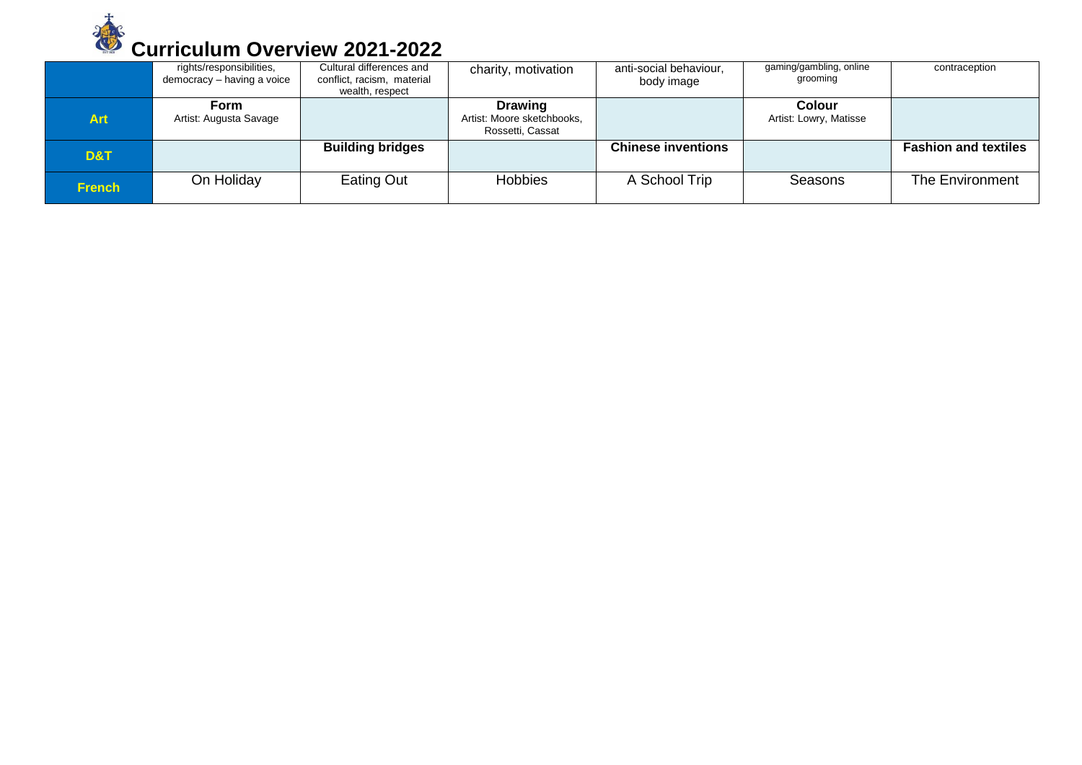

|               | rights/responsibilities,<br>democracy - having a voice | Cultural differences and<br>conflict, racism, material<br>wealth, respect | charity, motivation                                              | anti-social behaviour,<br>body image | gaming/gambling, online<br>grooming     | contraception               |
|---------------|--------------------------------------------------------|---------------------------------------------------------------------------|------------------------------------------------------------------|--------------------------------------|-----------------------------------------|-----------------------------|
| <b>Art</b>    | Form<br>Artist: Augusta Savage                         |                                                                           | <b>Drawing</b><br>Artist: Moore sketchbooks,<br>Rossetti, Cassat |                                      | <b>Colour</b><br>Artist: Lowry, Matisse |                             |
| D&T           |                                                        | <b>Building bridges</b>                                                   |                                                                  | <b>Chinese inventions</b>            |                                         | <b>Fashion and textiles</b> |
| <b>French</b> | On Holiday                                             | Eating Out                                                                | <b>Hobbies</b>                                                   | A School Trip                        | Seasons                                 | The Environment             |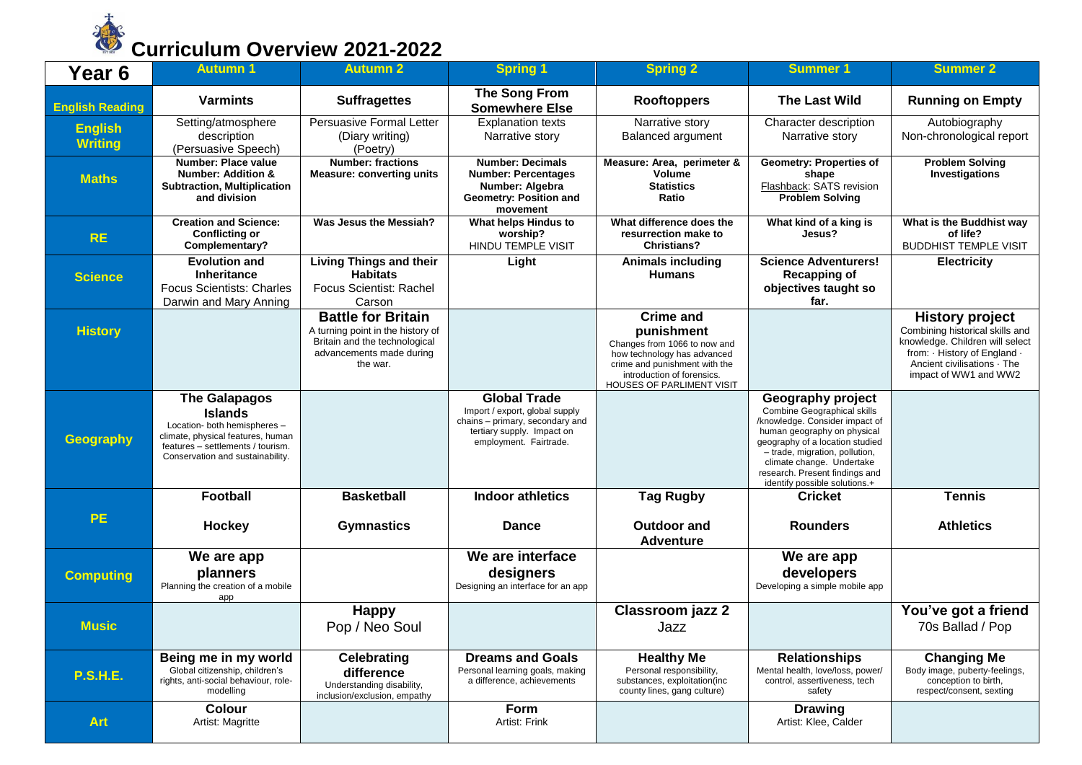

| Year <sub>6</sub>                | <b>Autumn 1</b>                                                                                                                                                                      | <b>Autumn 2</b>                                                                                                                         | <b>Spring 1</b>                                                                                                                                  | <b>Spring 2</b>                                                                                                                                                                           | Summer 1                                                                                                                                                                                                                                                                                      | <b>Summer 2</b>                                                                                                                                                                    |
|----------------------------------|--------------------------------------------------------------------------------------------------------------------------------------------------------------------------------------|-----------------------------------------------------------------------------------------------------------------------------------------|--------------------------------------------------------------------------------------------------------------------------------------------------|-------------------------------------------------------------------------------------------------------------------------------------------------------------------------------------------|-----------------------------------------------------------------------------------------------------------------------------------------------------------------------------------------------------------------------------------------------------------------------------------------------|------------------------------------------------------------------------------------------------------------------------------------------------------------------------------------|
| <b>English Reading</b>           | <b>Varmints</b>                                                                                                                                                                      | <b>Suffragettes</b>                                                                                                                     | <b>The Song From</b><br><b>Somewhere Else</b>                                                                                                    | <b>Rooftoppers</b>                                                                                                                                                                        | <b>The Last Wild</b>                                                                                                                                                                                                                                                                          | <b>Running on Empty</b>                                                                                                                                                            |
| <b>English</b><br><b>Writing</b> | Setting/atmosphere<br>description<br>(Persuasive Speech)                                                                                                                             | Persuasive Formal Letter<br>(Diary writing)<br>(Poetry)                                                                                 | <b>Explanation texts</b><br>Narrative story                                                                                                      | Narrative story<br><b>Balanced argument</b>                                                                                                                                               | Character description<br>Narrative story                                                                                                                                                                                                                                                      | Autobiography<br>Non-chronological report                                                                                                                                          |
| <b>Maths</b>                     | <b>Number: Place value</b><br><b>Number: Addition &amp;</b><br><b>Subtraction, Multiplication</b><br>and division                                                                    | <b>Number: fractions</b><br><b>Measure: converting units</b>                                                                            | <b>Number: Decimals</b><br><b>Number: Percentages</b><br>Number: Algebra<br>Geometry: Position and<br>movement                                   | Measure: Area, perimeter &<br>Volume<br><b>Statistics</b><br>Ratio                                                                                                                        | <b>Geometry: Properties of</b><br>shape<br>Flashback: SATS revision<br><b>Problem Solving</b>                                                                                                                                                                                                 | <b>Problem Solving</b><br>Investigations                                                                                                                                           |
| <b>RE</b>                        | <b>Creation and Science:</b><br><b>Conflicting or</b><br>Complementary?                                                                                                              | Was Jesus the Messiah?                                                                                                                  | What helps Hindus to<br>worship?<br><b>HINDU TEMPLE VISIT</b>                                                                                    | What difference does the<br>resurrection make to<br><b>Christians?</b>                                                                                                                    | What kind of a king is<br>Jesus?                                                                                                                                                                                                                                                              | What is the Buddhist way<br>of life?<br><b>BUDDHIST TEMPLE VISIT</b>                                                                                                               |
| <b>Science</b>                   | <b>Evolution and</b><br><b>Inheritance</b><br><b>Focus Scientists: Charles</b><br>Darwin and Mary Anning                                                                             | <b>Living Things and their</b><br><b>Habitats</b><br>Focus Scientist: Rachel<br>Carson                                                  | Light                                                                                                                                            | <b>Animals including</b><br><b>Humans</b>                                                                                                                                                 | <b>Science Adventurers!</b><br><b>Recapping of</b><br>objectives taught so<br>far.                                                                                                                                                                                                            | <b>Electricity</b>                                                                                                                                                                 |
| <b>History</b>                   |                                                                                                                                                                                      | <b>Battle for Britain</b><br>A turning point in the history of<br>Britain and the technological<br>advancements made during<br>the war. |                                                                                                                                                  | <b>Crime and</b><br>punishment<br>Changes from 1066 to now and<br>how technology has advanced<br>crime and punishment with the<br>introduction of forensics.<br>HOUSES OF PARLIMENT VISIT |                                                                                                                                                                                                                                                                                               | <b>History project</b><br>Combining historical skills and<br>knowledge. Children will select<br>from: History of England .<br>Ancient civilisations · The<br>impact of WW1 and WW2 |
| <b>Geography</b>                 | <b>The Galapagos</b><br><b>Islands</b><br>Location- both hemispheres -<br>climate, physical features, human<br>features - settlements / tourism.<br>Conservation and sustainability. |                                                                                                                                         | <b>Global Trade</b><br>Import / export, global supply<br>chains - primary, secondary and<br>tertiary supply. Impact on<br>employment. Fairtrade. |                                                                                                                                                                                           | <b>Geography project</b><br>Combine Geographical skills<br>/knowledge. Consider impact of<br>human geography on physical<br>geography of a location studied<br>- trade, migration, pollution,<br>climate change. Undertake<br>research. Present findings and<br>identify possible solutions.+ |                                                                                                                                                                                    |
|                                  | Football                                                                                                                                                                             | <b>Basketball</b>                                                                                                                       | <b>Indoor athletics</b>                                                                                                                          | <b>Tag Rugby</b>                                                                                                                                                                          | <b>Cricket</b>                                                                                                                                                                                                                                                                                | <b>Tennis</b>                                                                                                                                                                      |
| <b>PE</b>                        | <b>Hockey</b>                                                                                                                                                                        | <b>Gymnastics</b>                                                                                                                       | <b>Dance</b>                                                                                                                                     | <b>Outdoor and</b><br><b>Adventure</b>                                                                                                                                                    | <b>Rounders</b>                                                                                                                                                                                                                                                                               | <b>Athletics</b>                                                                                                                                                                   |
| <b>Computing</b>                 | We are app<br>planners<br>Planning the creation of a mobile<br>app                                                                                                                   |                                                                                                                                         | We are interface<br>designers<br>Designing an interface for an app                                                                               |                                                                                                                                                                                           | We are app<br>developers<br>Developing a simple mobile app                                                                                                                                                                                                                                    |                                                                                                                                                                                    |
| <b>Music</b>                     |                                                                                                                                                                                      | <b>Happy</b><br>Pop / Neo Soul                                                                                                          |                                                                                                                                                  | <b>Classroom jazz 2</b><br>Jazz                                                                                                                                                           |                                                                                                                                                                                                                                                                                               | You've got a friend<br>70s Ballad / Pop                                                                                                                                            |
| <b>P.S.H.E.</b>                  | Being me in my world<br>Global citizenship, children's<br>rights, anti-social behaviour, role-<br>modelling                                                                          | <b>Celebrating</b><br>difference<br>Understanding disability,<br>inclusion/exclusion, empathy                                           | <b>Dreams and Goals</b><br>Personal learning goals, making<br>a difference, achievements                                                         | <b>Healthy Me</b><br>Personal responsibility,<br>substances, exploitation(inc<br>county lines, gang culture)                                                                              | <b>Relationships</b><br>Mental health, love/loss, power/<br>control, assertiveness, tech<br>safety                                                                                                                                                                                            | <b>Changing Me</b><br>Body image, puberty-feelings,<br>conception to birth,<br>respect/consent, sexting                                                                            |
| <b>Art</b>                       | Colour<br>Artist: Magritte                                                                                                                                                           |                                                                                                                                         | Form<br>Artist: Frink                                                                                                                            |                                                                                                                                                                                           | <b>Drawing</b><br>Artist: Klee, Calder                                                                                                                                                                                                                                                        |                                                                                                                                                                                    |